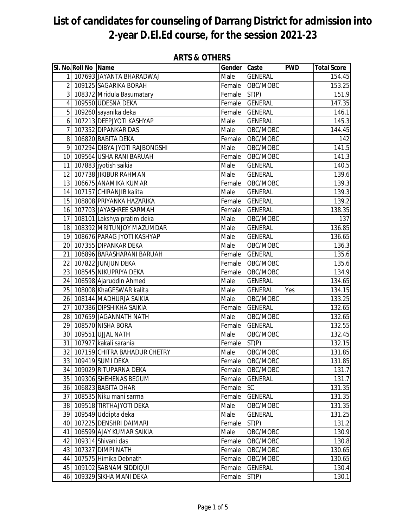|                | SI. No. Roll No Name |                               | Gender Caste |                | <b>PWD</b> | <b>Total Score</b> |
|----------------|----------------------|-------------------------------|--------------|----------------|------------|--------------------|
| 11             |                      | 107693 JAYANTA BHARADWAJ      | Male         | <b>GENERAL</b> |            | 154.45             |
|                |                      | 2 109125 SAGARIKA BORAH       | Female       | OBC/MOBC       |            | 153.25             |
|                |                      | 3 108372 Mridula Basumatary   | Female       | ST(P)          |            | 151.9              |
|                |                      | 4 109550 UDESNA DEKA          | Female       | <b>GENERAL</b> |            | 147.35             |
|                |                      | 5 109260 sayanika deka        | Female       | <b>GENERAL</b> |            | 146.1              |
|                |                      | 6 107213 DEEPJYOTI KASHYAP    | Male         | <b>GENERAL</b> |            | 145.3              |
| 7              |                      | 107352 DIPANKAR DAS           | Male         | OBC/MOBC       |            | 144.45             |
|                |                      | 8 106820 BABITA DEKA          | Female       | OBC/MOBC       |            | 142                |
| 9 <sup>1</sup> |                      | 107294 DIBYA JYOTI RAJBONGSHI | Male         | OBC/MOBC       |            | 141.5              |
|                |                      | 10 109564 USHA RANI BARUAH    | Female       | OBC/MOBC       |            | 141.3              |
|                |                      | 11 107883 jyotish saikia      | Male         | <b>GENERAL</b> |            | 140.5              |
|                |                      | 12 107738 JIKIBUR RAHMAN      | Male         | <b>GENERAL</b> |            | 139.6              |
|                |                      | 13 106675 ANAMIKA KUMAR       | Female       | OBC/MOBC       |            | 139.3              |
|                |                      | 14 107157 CHIRANJIB kalita    | Male         | <b>GENERAL</b> |            | 139.3              |
|                |                      | 15 108808 PRIYANKA HAZARIKA   | Female       | <b>GENERAL</b> |            | 139.2              |
|                |                      | 16 107703 JAYASHREE SARMAH    | Female       | <b>GENERAL</b> |            | 138.35             |
|                |                      | 17 108101 Lakshya pratim deka | Male         | OBC/MOBC       |            | 137                |
|                |                      | 18 108392 MRITUNJOY MAZUMDAR  | Male         | <b>GENERAL</b> |            | 136.85             |
|                |                      | 19 108676 PARAG JYOTI KASHYAP | Male         | <b>GENERAL</b> |            | 136.65             |
|                |                      | 20 107355 DIPANKAR DEKA       | Male         | OBC/MOBC       |            | 136.3              |
|                |                      | 21 106896 BARASHARANI BARUAH  | Female       | <b>GENERAL</b> |            | 135.6              |
|                |                      | 22 107822 JUNJUN DEKA         | Female       | OBC/MOBC       |            | 135.6              |
|                |                      | 23 108545 NIKUPRIYA DEKA      | Female       | OBC/MOBC       |            | 134.9              |
|                |                      | 24 106598 Ajaruddin Ahmed     | Male         | <b>GENERAL</b> |            | 134.65             |
|                |                      | 25 108008 KhaGESWAR kalita    | Male         | <b>GENERAL</b> | Yes        | 134.15             |
|                |                      | 26 108144 MADHURJA SAIKIA     | Male         | OBC/MOBC       |            | 133.25             |
| 27             |                      | 107386 DIPSHIKHA SAIKIA       | Female       | <b>GENERAL</b> |            | 132.65             |
| 28             |                      | 107659 JAGANNATH NATH         | Male         | OBC/MOBC       |            | 132.65             |
|                |                      | 29 108570 NISHA BORA          | Female       | <b>GENERAL</b> |            | 132.55             |
|                |                      | 30 109551 UJJAL NATH          | Male         | OBC/MOBC       |            | 132.45             |
| 31             |                      | 107927 kakali sarania         | Female       | ST(P)          |            | 132.15             |
| 32             |                      | 107159 CHITRA BAHADUR CHETRY  | Male         | OBC/MOBC       |            | 131.85             |
|                |                      | 33 109419 SUMI DEKA           | Female       | OBC/MOBC       |            | 131.85             |
|                |                      | 34 109029 RITUPARNA DEKA      | Female       | OBC/MOBC       |            | 131.7              |
|                |                      | 35 109306 SHEHENAS BEGUM      | Female       | <b>GENERAL</b> |            | 131.7              |
|                |                      | 36 106823 BABITA DHAR         | Female       | SC             |            | 131.35             |
| 37             |                      | 108535 Niku mani sarma        | Female       | <b>GENERAL</b> |            | 131.35             |
|                |                      | 38 109518 TIRTHAJYOTI DEKA    | Male         | OBC/MOBC       |            | 131.35             |
|                |                      | 39 109549 Uddipta deka        | Male         | <b>GENERAL</b> |            | 131.25             |
|                |                      | 40 107225 DENSHRI DAIMARI     | Female       | ST(P)          |            | 131.2              |
| 41             |                      | 106599 AJAY KUMAR SAIKIA      | Male         | OBC/MOBC       |            | 130.9              |
| 42             |                      | 109314 Shivani das            | Female       | OBC/MOBC       |            | 130.8              |
| 43             |                      | 107327 DIMPI NATH             | Female       | OBC/MOBC       |            | 130.65             |
|                |                      | 44 107575 Himika Debnath      | Female       | OBC/MOBC       |            | 130.65             |
|                |                      | 45 109102 SABNAM SIDDIQUI     | Female       | <b>GENERAL</b> |            | 130.4              |
|                |                      | 46 109329 SIKHA MANI DEKA     | Female       | ST(P)          |            | 130.1              |

#### **ARTS & OTHERS**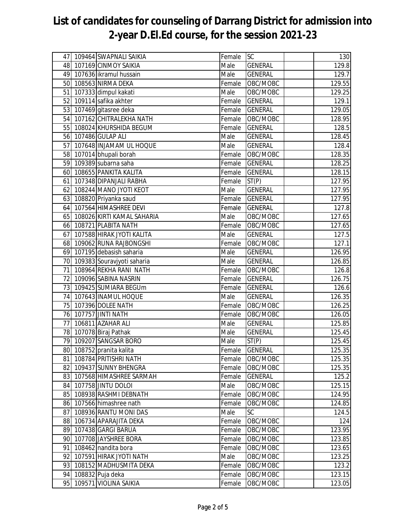|    | 47 109464 SWAPNALI SAIKIA     | Female                     | <b>ISC</b>     | 130    |
|----|-------------------------------|----------------------------|----------------|--------|
|    | 48 107169 CINMOY SAIKIA       | Male                       | <b>GENERAL</b> | 129.8  |
|    | 49 107636 ikramul hussain     | Male                       | <b>GENERAL</b> | 129.7  |
|    | 50 108563 NIRMA DEKA          | Female                     | OBC/MOBC       | 129.55 |
|    | 51 107333 dimpul kakati       | Male                       | OBC/MOBC       | 129.25 |
|    | 52 109114 safika akhter       | Female                     | <b>GENERAL</b> | 129.1  |
|    | 53 107469 gitasree deka       | Female                     | <b>GENERAL</b> | 129.05 |
|    | 54 107162 CHITRALEKHA NATH    | Female                     | OBC/MOBC       | 128.95 |
|    | 55 108024 KHURSHIDA BEGUM     | Female                     | <b>GENERAL</b> | 128.5  |
|    | 56 107486 GULAP ALI           | Male                       | <b>GENERAL</b> | 128.45 |
| 57 | 107648 INJAMAM UL HOQUE       | Male                       | <b>GENERAL</b> | 128.4  |
|    | 58 107014 bhupali borah       | Female                     | OBC/MOBC       | 128.35 |
|    | 59 109389 subarna saha        | Female                     | <b>GENERAL</b> | 128.25 |
|    | 60 108655 PANKITA KALITA      | Female                     | <b>GENERAL</b> | 128.15 |
|    | 61 107348 DIPANJALI RABHA     | Female                     | ST(P)          | 127.95 |
|    | 62 108244 MANO JYOTI KEOT     | Male                       | <b>GENERAL</b> | 127.95 |
|    | 63 108820 Priyanka saud       | Female                     | <b>GENERAL</b> | 127.95 |
|    | 64 107564 HIMASHREE DEVI      | Female                     | <b>GENERAL</b> | 127.8  |
|    | 65 108026 KIRTI KAMAL SAHARIA | Male                       | OBC/MOBC       | 127.65 |
|    | 66 108721 PLABITA NATH        | Female                     | OBC/MOBC       | 127.65 |
|    | 67 107588 HIRAK JYOTI KALITA  | Male                       | <b>GENERAL</b> | 127.5  |
|    | 68 109062 RUNA RAJBONGSHI     | Female                     | OBC/MOBC       | 127.1  |
|    | 69 107195 debasish saharia    | Male                       | <b>GENERAL</b> | 126.95 |
|    | 70 109383 Souravjyoti saharia | Male                       | <b>GENERAL</b> | 126.85 |
|    | 71 108964 REKHA RANI NATH     | Female                     | OBC/MOBC       | 126.8  |
|    | 72 109096 SABINA NASRIN       | Female                     | <b>GENERAL</b> | 126.75 |
|    | 73 109425 SUMIARA BEGUm       | Female                     | <b>GENERAL</b> | 126.6  |
|    | 74 107643 INAMUL HOQUE        | Male                       | <b>GENERAL</b> | 126.35 |
|    | 75 107396 DOLEE NATH          | Female                     | OBC/MOBC       | 126.25 |
|    | 76 107757 JINTI NATH          | Female                     | OBC/MOBC       | 126.05 |
| 77 | 106811 AZAHAR ALI             | Male                       | <b>GENERAL</b> | 125.85 |
|    | 78 107078 Biraj Pathak        | $\overline{\mathsf{Male}}$ | <b>GENERAL</b> | 125.45 |
|    | 79 109207 SANGSAR BORO        | Male                       | ST(P)          | 125.45 |
|    | 80 108752 pranita kalita      | Female                     | <b>GENERAL</b> | 125.35 |
|    | 81 108784 PRITISHRI NATH      | Female                     | OBC/MOBC       | 125.35 |
|    | 82 109437 SUNNY BHENGRA       | Female                     | OBC/MOBC       | 125.35 |
|    | 83 107568 HIMASHREE SARMAH    | Female                     | <b>GENERAL</b> | 125.2  |
|    | 84 107758 JINTU DOLOI         | Male                       | OBC/MOBC       | 125.15 |
|    | 85 108938 RASHMI DEBNATH      | Female                     | OBC/MOBC       | 124.95 |
|    | 86 107566 himashree nath      | Female                     | OBC/MOBC       | 124.85 |
|    | 87 108936 RANTU MONI DAS      | Male                       | SC             | 124.5  |
|    | 88 106734 APARAJITA DEKA      | Female                     | OBC/MOBC       | 124    |
|    | 89 107438 GARGI BARUA         | Female                     | OBC/MOBC       | 123.95 |
|    | 90 107708 JAYSHREE BORA       | Female                     | OBC/MOBC       | 123.85 |
| 91 | 108462 nandita bora           | Female                     | OBC/MOBC       | 123.65 |
| 92 | 107591 HIRAK JYOTI NATH       | Male                       | OBC/MOBC       | 123.25 |
|    | 93 108152 MADHUSMITA DEKA     | Female                     | OBC/MOBC       | 123.2  |
|    | 94 108832 Puja deka           | Female                     | OBC/MOBC       | 123.15 |
| 95 | 109571 VIOLINA SAIKIA         | Female                     | OBC/MOBC       | 123.05 |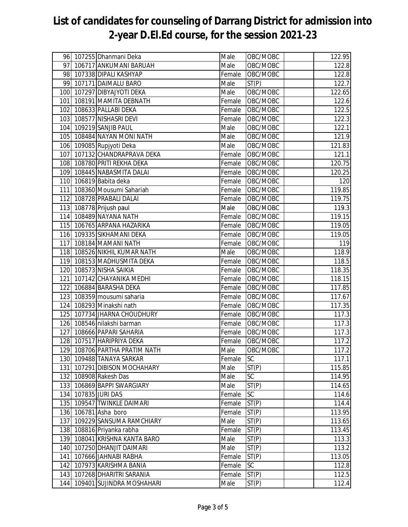|     | 96 107255 Dhanmani Deka       | Male   | OBC/MOBC  | 122.95 |
|-----|-------------------------------|--------|-----------|--------|
| 97  | 106717 ANKUMANI BARUAH        | Male   | OBC/MOBC  | 122.8  |
|     | 98 107338 DIPALI KASHYAP      | Female | OBC/MOBC  | 122.8  |
| 99  | 107171 DAIMALU BARO           | Male   | ST(P)     | 122.7  |
| 100 | 107297 DIBYAJYOTI DEKA        | Male   | OBC/MOBC  | 122.65 |
|     | 101 108191 MAMITA DEBNATH     | Female | OBC/MOBC  | 122.6  |
|     | 102 108633 PALLABI DEKA       | Female | OBC/MOBC  | 122.5  |
|     | 103 108577 NISHASRI DEVI      | Female | OBC/MOBC  | 122.3  |
|     | 104 109219 SANJIB PAUL        | Male   | OBC/MOBC  | 122.1  |
|     | 105 108484 NAYAN MONI NATH    | Male   | OBC/MOBC  | 121.9  |
|     | 106 109085 Rupjyoti Deka      | Male   | OBC/MOBC  | 121.83 |
|     | 107 107132 CHANDRAPRAVA DEKA  | Female | OBC/MOBC  | 121.1  |
|     | 108 108780 PRITI REKHA DEKA   | Female | OBC/MOBC  | 120.75 |
|     | 109 108445 NABASMITA DALAI    | Female | OBC/MOBC  | 120.25 |
|     | 110 106819 Babita deka        | Female | OBC/MOBC  | 120    |
|     | 111 108360 Mousumi Sahariah   | Female | OBC/MOBC  | 119.85 |
|     | 112 108728 PRABALI DALAI      | Female | OBC/MOBC  | 119.75 |
|     | 113 108778 Prijush paul       | Male   | OBC/MOBC  | 119.3  |
|     | 114 108489 NAYANA NATH        | Female | OBC/MOBC  | 119.15 |
|     | 115 106765 ARPANA HAZARIKA    | Female | OBC/MOBC  | 119.05 |
|     | 116 109335 SIKHAMANI DEKA     | Female | OBC/MOBC  | 119.05 |
|     | 117 108184 MAMANI NATH        | Female | OBC/MOBC  | 119    |
|     | 118 108526 NIKHIL KUMAR NATH  | Male   | OBC/MOBC  | 118.9  |
|     | 119 108153 MADHUSMITA DEKA    | Female | OBC/MOBC  | 118.5  |
|     | 120 108573 NISHA SAIKIA       | Female | OBC/MOBC  | 118.35 |
| 121 | 107142 CHAYANIKA MEDHI        | Female | OBC/MOBC  | 118.15 |
|     | 122 106884 BARASHA DEKA       | Female | OBC/MOBC  | 117.85 |
|     | 123 108359 mousumi saharia    | Female | OBC/MOBC  | 117.67 |
|     | 124 108293 Minakshi nath      | Female | OBC/MOBC  | 117.35 |
|     | 125 107734 JHARNA CHOUDHURY   | Female | OBC/MOBC  | 117.3  |
|     | 126 108546 nilakshi barman    | Female | OBC/MOBC  | 117.3  |
|     | 127 108666 PAPARI SAHARIA     | Female | OBC/MOBC  | 117.3  |
|     | 128 107517 HARIPRIYA DEKA     | Female | OBC/MOBC  | 117.2  |
|     | 129 108706 PARTHA PRATIM NATH | Male   | OBC/MOBC  | 117.2  |
|     | 130 109488 TANAYA SARKAR      | Female | <b>SC</b> | 117.1  |
| 131 | 107291 DIBISON MOCHAHARY      | Male   | ST(P)     | 115.85 |
|     | 132 108908 Rakesh Das         | Male   | SC        | 114.95 |
|     | 133 106869 BAPPI SWARGIARY    | Male   | ST(P)     | 114.65 |
|     | 134 107835 JURI DAS           | Female | <b>SC</b> | 114.6  |
|     | 135 109547 TWINKLE DAIMARI    | Female | ST(P)     | 114.4  |
|     | 136 106781 Asha boro          | Female | ST(P)     | 113.95 |
| 137 | 109229 SANSUMA RAMCHIARY      | Male   | ST(P)     | 113.65 |
| 138 | 108816 Priyanka rabha         | Female | ST(P)     | 113.45 |
|     | 139 108041 KRISHNA KANTA BARO | Male   | ST(P)     | 113.3  |
| 140 | 107250 DHANJIT DAIMARI        | Male   | ST(P)     | 113.2  |
| 141 | 107666 JAHNABI RABHA          | Female | ST(P)     | 113.05 |
| 142 | 107973 KARISHMA BANIA         | Female | <b>SC</b> | 112.8  |
|     | 143 107268 DHARITRI SARANIA   | Female | ST(P)     | 112.5  |
| 144 | 109401 SUJINDRA MOSHAHARI     | Male   | ST(P)     | 112.4  |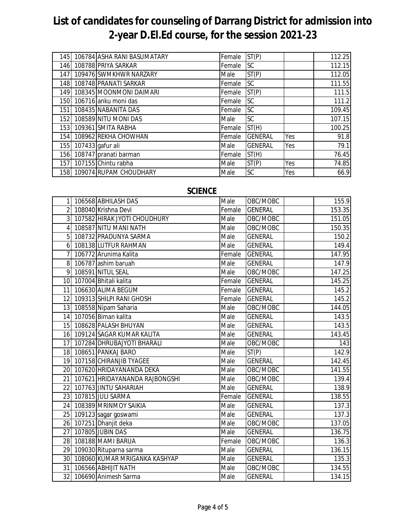| 145          | 106784 ASHA RANI BASUMATARY | Female | ST(P)          |     | 112.25 |
|--------------|-----------------------------|--------|----------------|-----|--------|
| 146 <b>1</b> | 108788 PRIYA SARKAR         | Female | SC             |     | 112.15 |
| 147          | 109476 SWMKHWR NARZARY      | Male   | ST(P)          |     | 112.05 |
| 148          | 108748 PRANATI SARKAR       | Female | <b>SC</b>      |     | 111.55 |
| 149          | 108345 MOONMONI DAIMARI     | Female | ST(P)          |     | 111.5  |
| 150          | 106716 anku moni das        | Female | <b>SC</b>      |     | 111.2  |
| 151          | 108435 NABANITA DAS         | Female | SC             |     | 109.45 |
| 152          | 108589 NITU MONI DAS        | Male   | SC.            |     | 107.15 |
| 153          | 109361 SMITA RABHA          | Female | ST(H)          |     | 100.25 |
| 154          | 108962 REKHA CHOWHAN        | Female | <b>GENERAL</b> | Yes | 91.8   |
| 155          | 107433 gafur ali            | Male   | <b>GENERAL</b> | Yes | 79.1   |
| 156          | 108747 pranati barman       | Female | ST(H)          |     | 76.45  |
| 157          | 107155 Chintu rabha         | Male   | ST(P)          | Yes | 74.85  |
| 158          | 109074 RUPAM CHOUDHARY      | Male   | SC             | Yes | 66.9   |

#### **SCIENCE**

| 11             | 106568 ABHILASH DAS              | Male   | OBC/MOBC       | 155.9  |
|----------------|----------------------------------|--------|----------------|--------|
| 21             | 108040 Krishna Devi              | Female | <b>GENERAL</b> | 153.35 |
|                | 3 107582 HIRAK JYOTI CHOUDHURY   | Male   | OBC/MOBC       | 151.05 |
| 4 <sup>1</sup> | 108587 NITU MANI NATH            | Male   | OBC/MOBC       | 150.35 |
| 5 <sup>1</sup> | 108732 PRADUNYA SARMA            | Male   | <b>GENERAL</b> | 150.2  |
|                | 6 108138 LUTFUR RAHMAN           | Male   | <b>GENERAL</b> | 149.4  |
| 71             | 106772 Arunima Kalita            | Female | <b>GENERAL</b> | 147.95 |
|                | 8 106787 ashim baruah            | Male   | <b>GENERAL</b> | 147.9  |
|                | 9 108591 NITUL SEAL              | Male   | OBC/MOBC       | 147.25 |
|                | 10 107004 Bhitali kalita         | Female | <b>GENERAL</b> | 145.25 |
|                | 11 106630 ALIMA BEGUM            | Female | <b>GENERAL</b> | 145.2  |
|                | 12 109313 SHILPI RANI GHOSH      | Female | <b>GENERAL</b> | 145.2  |
|                | 13 108558 Nipam Saharia          | Male   | OBC/MOBC       | 144.05 |
|                | 14 107056 Biman kalita           | Male   | <b>GENERAL</b> | 143.5  |
|                | 15 108628 PALASH BHUYAN          | Male   | <b>GENERAL</b> | 143.5  |
|                | 16 109124 SAGAR KUMAR KALITA     | Male   | <b>GENERAL</b> | 143.45 |
| 17             | 107284 DHRUBAJYOTI BHARALI       | Male   | OBC/MOBC       | 143    |
|                | 18 108651 PANKAJ BARO            | Male   | ST(P)          | 142.9  |
|                | 19 107158 CHIRANJIB TYAGEE       | Male   | <b>GENERAL</b> | 142.45 |
|                | 20 107620 HRIDAYANANDA DEKA      | Male   | OBC/MOBC       | 141.55 |
| 21             | 107621 HRIDAYANANDA RAJBONGSHI   | Male   | OBC/MOBC       | 139.4  |
| 22             | 107763 JINTU SAHARIAH            | Male   | <b>GENERAL</b> | 138.9  |
|                | 23 107815 JULI SARMA             | Female | <b>GENERAL</b> | 138.55 |
|                | 24 108389 MRINMOY SAIKIA         | Male   | <b>GENERAL</b> | 137.3  |
|                | 25 109123 sagar goswami          | Male   | <b>GENERAL</b> | 137.3  |
|                | 26 107251 Dhanjit deka           | Male   | OBC/MOBC       | 137.05 |
| 27             | 107805 JUBIN DAS                 | Male   | <b>GENERAL</b> | 136.75 |
|                | 28 108188 MAMI BARUA             | Female | OBC/MOBC       | 136.3  |
|                | 29 109030 Rituparna sarma        | Male   | <b>GENERAL</b> | 136.15 |
|                | 30 108060 KUMAR MRIGANKA KASHYAP | Male   | <b>GENERAL</b> | 135.3  |
|                | 31 106566 ABHIJIT NATH           | Male   | OBC/MOBC       | 134.55 |
|                | 32 106690 Animesh Sarma          | Male   | <b>GENERAL</b> | 134.15 |